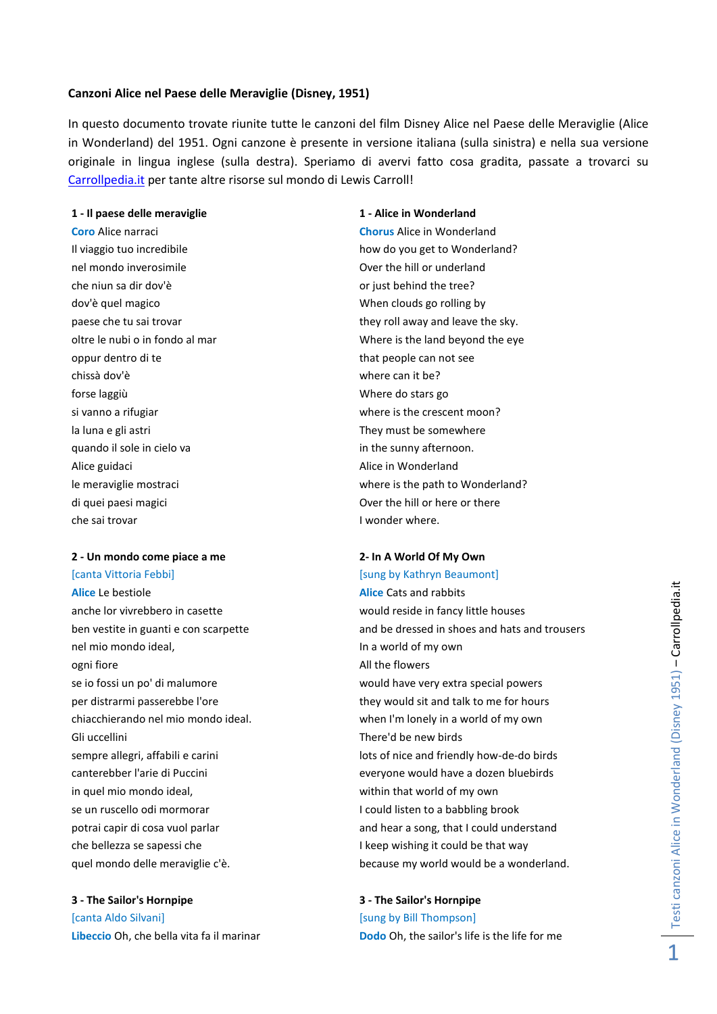# **Canzoni Alice nel Paese delle Meraviglie (Disney, 1951)**

In questo documento trovate riunite tutte le canzoni del film Disney Alice nel Paese delle Meraviglie (Alice in Wonderland) del 1951. Ogni canzone è presente in versione italiana (sulla sinistra) e nella sua versione originale in lingua inglese (sulla destra). Speriamo di avervi fatto cosa gradita, passate a trovarci su [Carrollpedia.it](www.carrollpedia.it) per tante altre risorse sul mondo di Lewis Carroll!

### **1 - Il paese delle meraviglie 1 - Alice in Wonderland**

**Coro** Alice narraci **Chorus** Alice in Wonderland nel mondo inverosimile and the overche niun sa dir dov'è originale or just behind the tree? dov'è quel magico When clouds go rolling by oppur dentro di te that people can not see chissà dov'è where can it be? forse laggiù Where do stars go si vanno a rifugiar where is the crescent moon? la luna e gli astri  $\qquad \qquad$  They must be somewhere quando il sole in cielo va in the sunny afternoon. Alice guidaci **Alice in Wonderland** di quei paesi magici Over the hill or here or there che sai trovar in a strovar in the sai trovar in the sai trovar in the sai trovar in the sai trovar in the sai

# **2 - Un mondo come piace a me 2- In A World Of My Own**

anche lor vivrebbero in casette would reside in fancy little houses nel mio mondo ideal, and in a world of my own ogni fiore and a set of the flowers of the flowers of the flowers of the flowers of the flowers of the flowers se io fossi un po' di malumore would have very extra special powers chiacchierando nel mio mondo ideal. when I'm lonely in a world of my own Gli uccellini There'd be new birds in quel mio mondo ideal, within that world of my own se un ruscello odi mormorar and a babbling brook che bellezza se sapessi che I keep wishing it could be that way

[canta Aldo Silvani] **[sung by Bill Thompson]** 

Il viaggio tuo incredibile how do you get to Wonderland? paese che tu sai trovar they roll away and leave the sky. oltre le nubi o in fondo al mar Where is the land beyond the eye le meraviglie mostraci where is the path to Wonderland?

# [canta Vittoria Febbi] [sung by Kathryn Beaumont]

**Alice** Le bestiole **Alice** Cats and rabbits ben vestite in guanti e con scarpette and be dressed in shoes and hats and trousers per distrarmi passerebbe l'ore they would sit and talk to me for hours sempre allegri, affabili e carini lots of nice and friendly how-de-do birds canterebber l'arie di Puccini everyone would have a dozen bluebirds potrai capir di cosa vuol parlar and hear a song, that I could understand quel mondo delle meraviglie c'è. because my world would be a wonderland.

# **3 - The Sailor's Hornpipe 3 - The Sailor's Hornpipe**

**Libeccio** Oh, che bella vita fa il marinar **Dodo** Oh, the sailor's life is the life for me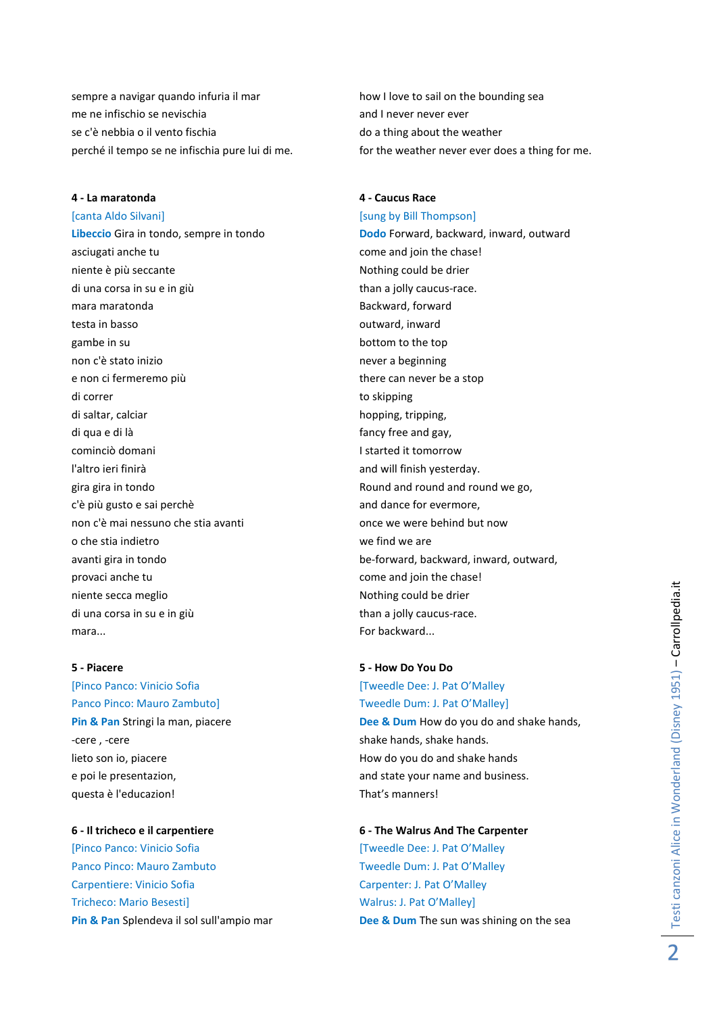sempre a navigar quando infuria il mar how I love to sail on the bounding sea me ne infischio se nevischia and I never never ever se c'è nebbia o il vento fischia do a thing about the weather

### **4 - La maratonda 4 - Caucus Race**

asciugati anche tu come and join the chase! niente è più seccante de controller de la controller de Nothing could be drier di una corsa in su e in giù than a jolly caucus-race. mara maratonda and a Backward, forward testa in basso **outward**, inward gambe in su bottom to the top non c'è stato inizio never a beginning e non ci fermeremo più there can never be a stop di correr to skipping to skipping di saltar, calciar hopping, tripping, the hopping, tripping, the hopping, tripping, the hopping, the hopping, the hopping, the hopping, the hopping, the hopping, the hopping, the hopping, the hopping, the hopping, the hopp di qua e di là fancy free and gay, cominciò domani alla cominciò domani di all'altre di starte di starte di starte di starte di starte di starte d l'altro ieri finirà and will finish yesterday. gira gira in tondo **Round and round and round we go**, and round and round we go, c'è più gusto e sai perchè and dance for evermore, non c'è mai nessuno che stia avanti once me vere vere behind but now o che stia indietro we find we are avanti gira in tondo be-forward, backward, inward, outward, provaci anche tu come and join the chase! niente secca meglio Nothing could be drier di una corsa in su e in giù than a jolly caucus-race. mara... For backward...

Panco Pinco: Mauro Zambuto] Tweedle Dum: J. Pat O'Malley] -cere , -cere shake hands, shake hands, shake hands. lieto son io, piacere **How do you do and shake hands** questa è l'educazion!<br>
That's manners!

**6 - Il tricheco e il carpentiere 6 - The Walrus And The Carpenter** [Pinco Panco: Vinicio Sofia [Tweedle Dee: J. Pat O'Malley Panco Pinco: Mauro Zambuto Tweedle Dum: J. Pat O'Malley Carpentiere: Vinicio Sofia Carpenter: J. Pat O'Malley Tricheco: Mario Besesti] Walrus: J. Pat O'Malley]

perché il tempo se ne infischia pure lui di me.<br>for the weather never ever does a thing for me.

[canta Aldo Silvani] [sung by Bill Thompson] **Libeccio** Gira in tondo, sempre in tondo **Dodo** Forward, backward, inward, outward

# **5 - Piacere 5 - How Do You Do**

[Pinco Panco: Vinicio Sofia [Tweedle Dee: J. Pat O'Malley **Pin & Pan** Stringi la man, piacere **Dee & Dum** How do you do and shake hands, e poi le presentazion, and state your name and business.

**Pin & Pan** Splendeva il sol sull'ampio mar **Dee & Dum** The sun was shining on the sea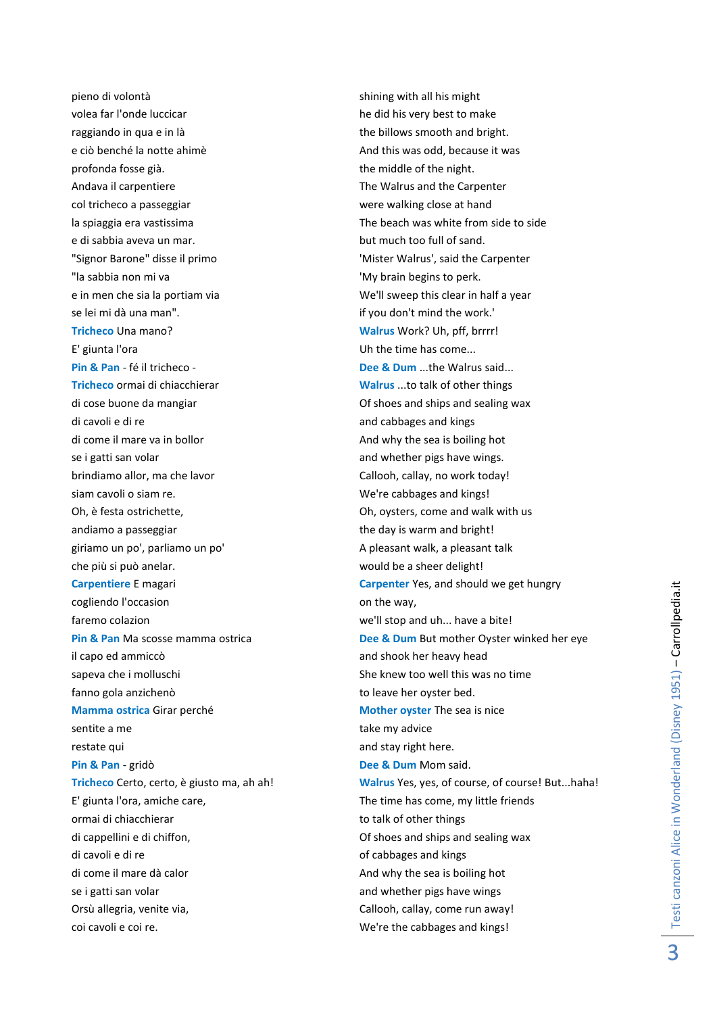pieno di volontà shining with all his might volea far l'onde luccicar de controller de la controller de did his very best to make raggiando in qua e in là e ciò benché la notte ahimè  $\blacksquare$  And this was odd, because it was profonda fosse già. the middle of the night. Andava il carpentiere The Walrus and the Carpenter col tricheco a passeggiar were walking close at hand e di sabbia aveva un mar. but much too full of sand. "Signor Barone" disse il primo 'Mister Walrus', said the Carpenter "la sabbia non mi va 'My brain begins to perk. e in men che sia la portiam via We'll sweep this clear in half a year se lei mi dà una man". if you don't mind the work.' **Tricheco** Una mano? **Walrus** Work? Uh, pff, brrrr! E' giunta l'ora  $\blacksquare$  The time has come... **Pin & Pan** - fé il tricheco **Trichec** di cose buone da mangiar **Of shoes and ships and sealing wax** Of shoes and ships and sealing wax di cavoli e di re<br>
and cabbages and kings di come il mare va in bollor And why the sea is boiling hot se i gatti san volar and whether pigs have wings. brindiamo allor, ma che lavor established allooh, callooh, callay, no work today! siam cavoli o siam re. The state of the state of the We're cabbages and kings! Oh, è festa ostrichette,  $\overline{O}$  oh, oysters, come and walk with us andiamo a passeggiar andiamo a passeggiar the day is warm and bright! giriamo un po', parliamo un po' a component alle a A pleasant walk, a pleasant talk che più si può anelar. would be a sheer delight! cogliendo l'occasion comme comme con the way, faremo colazion we'll stop and uh... have a bite! il capo ed ammiccò and shook her heavy head sapeva che i molluschi She knew too well this was no time fanno gola anzichenò to leave her oyster bed. **Mamma ostrica** Girar perché **Mother ovster** The sea is nice sentite a me take my advice restate qui and stay right here. **Pin & Pan** E' giunta l'ora, amiche care, The time has come, my little friends ormai di chiacchierar to talk of other things di cappellini e di chiffon, Of shoes and ships and sealing wax di cavoli e di re of cabbages and kings di come il mare dà calor And why the sea is boiling hot se i gatti san volar and whether pigs have wings have wings Orsù allegria, venite via, Callooh, callay, come run away!

the billows smooth and bright. la spiaggia era vastissima The beach was white from side to side Dee & Dum ...the Walrus said... **Walrus** ...to talk of other things **Carpentiere** E magari **Carpenter** Yes, and should we get hungry **Pin & Pan** Ma scosse mamma ostrica **Dee & Dum** But mother Oyster winked her eye Dee & Dum Mom said. **Tricheco** Certo, certo, è giusto ma, ah ah! **Walrus** Yes, yes, of course, of course! But...haha! coi cavoli e coi re. We're the cabbages and kings!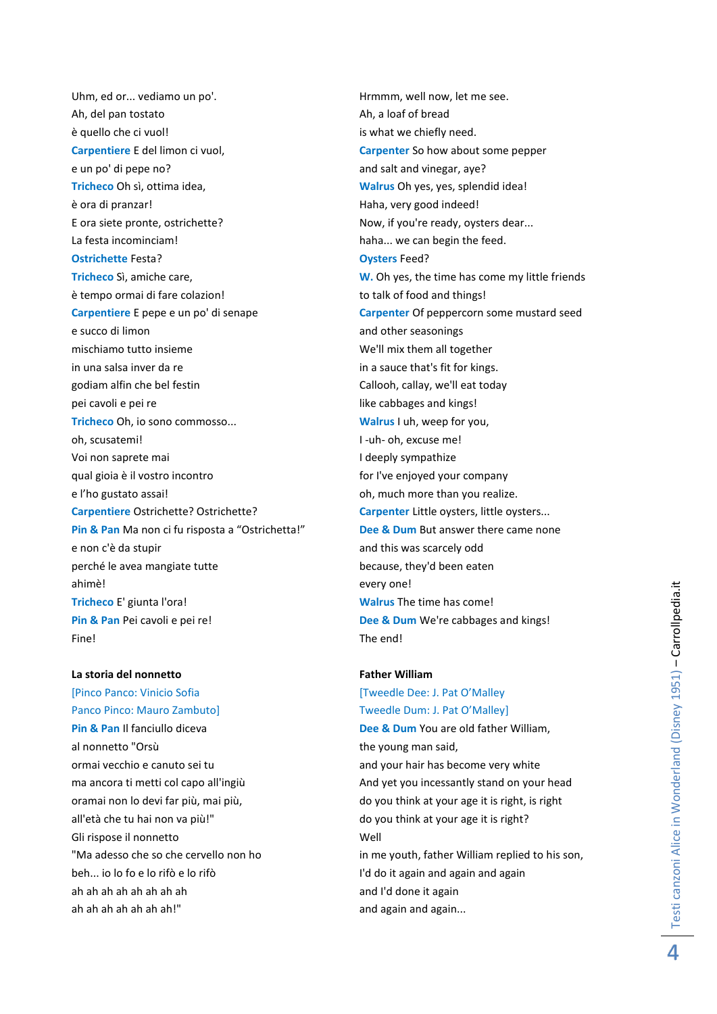Uhm, ed or... vediamo un po'. The set of the set of the set of Hrmmm, well now, let me see. Ah, del pan tostato Ah, a loaf of bread è quello che ci vuol! is what we chiefly need. **Carpentiere** E del limon ci vuol, **Carpenter** So how about some pepper e un po' di pepe no? and salt and vinegar, aye? **Tricheco** Oh sì, ottima idea, **Walrus** Oh yes, yes, splendid idea! è ora di pranzar! Haha, very good indeed! E ora siete pronte, ostrichette? Now, if you're ready, oysters dear... La festa incominciam! haha... we can begin the feed. **Ostrichette** Festa? **Oysters** Feed? **Tricheco** Sì, amiche care, **W.** Oh yes, the time has come my little friends è tempo ormai di fare colazion! to talk of food and things! **Carpentiere** E pepe e un po' di senape **Carpenter** Of peppercorn some mustard seed e succo di limon and other seasonings mischiamo tutto insieme We'll mix them all together in una salsa inver da re in a sauce that's fit for kings. godiam alfin che bel festin entre controlled and Callooh, callay, we'll eat today pei cavoli e pei re like cabbages and kings! **Tricheco** Oh, io sono commosso... **Walrus** I uh, weep for you, oh, scusatemi! I -uh- oh, excuse me! Voi non saprete mai Voi non saprete mai Voi non saprete mai version et al. et al. et al. et al. et al. et al. e qual gioia è il vostro incontro e internationale for I've enjoyed your company e l'ho gustato assai!  $\blacksquare$ **Carpentiere** Ostrichette? Ostrichette? **Carpenter** Little oysters, little oysters... **Pin & Pan** Ma non ci fu risposta a "Ostrichetta!" **Dee & Dum** But answer there came none e non c'è da stupir and this was scarcely odd perché le avea mangiate tutte because, they'd been eaten ahimè! every one! **Tricheco** E' giunta l'ora! **Walrus** The time has come! **Pin & Pan** Pei cavoli e pei re! **Dee & Dum** We're cabbages and kings! Fine! The end!

**La storia del nonnetto Father William**

Panco Pinco: Mauro Zambuto] Tweedle Dum: J. Pat O'Malley] al nonnetto "Orsù the young man said. ormai vecchio e canuto sei tu and your hair has become very white all'età che tu hai non va più!" do you think at your age it is right? Gli rispose il nonnetto versione della Viella della Viella Viella Viella Viella Viella Viella Viella Viella Vi beh... io lo fo e lo rifò e lo rifò I'd do it again and again and again ah ah ah ah ah ah ah ah and I'd done it again ah ah ah ah ah ah!" and again and again...

[Pinco Panco: Vinicio Sofia [Tweedle Dee: J. Pat O'Malley **Pin & Pan** Il fanciullo diceva **Dee & Dum** You are old father William, ma ancora ti metti col capo all'ingiù And yet you incessantly stand on your head oramai non lo devi far più, mai più, do vou think at your age it is right, is right "Ma adesso che so che cervello non ho in me youth, father William replied to his son,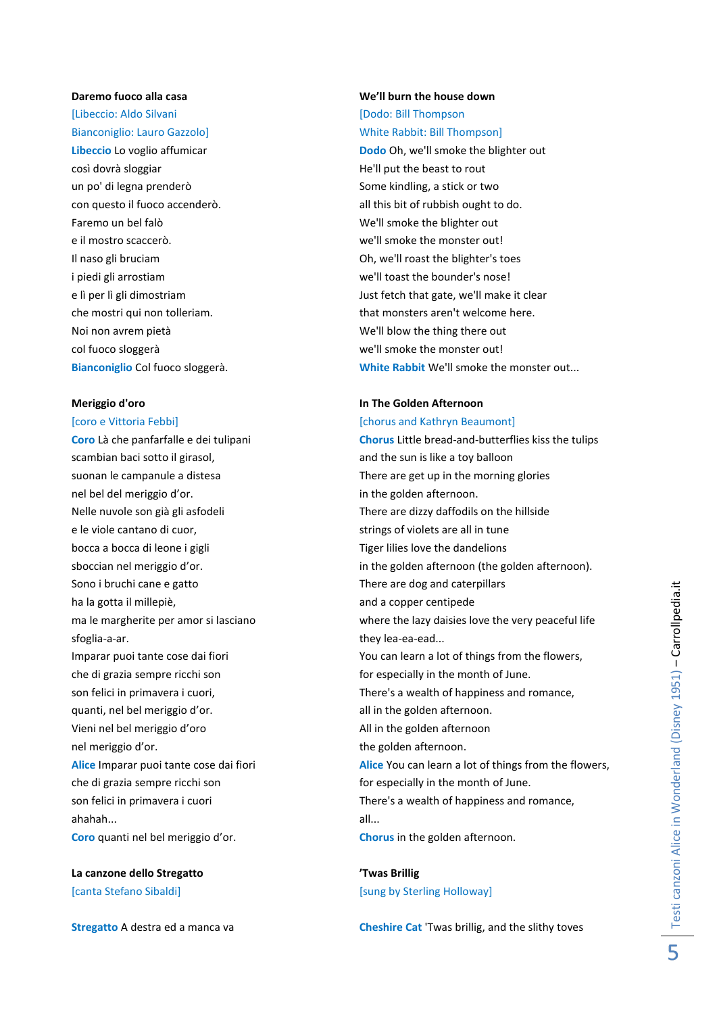[Libeccio: Aldo Silvani

così dovrà sloggiar He'll put the beast to rout un po' di legna prenderò Some kindling, a stick or two Faremo un bel falò We'll smoke the blighter out e il mostro scaccerò. we'll smoke the monster out! i piedi gli arrostiam we'll toast the bounder's nose! Noi non avrem pietà We'll blow the thing there out col fuoco sloggerà we'll smoke the monster out!

**Coro** Là che panfarfalle e dei tulipani scambian baci sotto il girasol, and the sun is like a toy balloon suonan le campanule a distesa There are get up in the morning glories nel bel del meriggio d'or. in the golden afternoon. Nelle nuvole son già gli asfodeli There are dizzy daffodils on the hillside e le viole cantano di cuor, strings of violets are all in tune bocca a bocca di leone i gigli e serve in the server all the Tiger lilies love the dandelions Sono i bruchi cane e gatto There are dog and caterpillars ha la gotta il millepiè, and a copper centipede sfoglia - a -ar. **they lea-ea-ead...** che di grazia sempre ricchi son for especially in the month of June. quanti, nel bel meriggio d'or. all in the golden afternoon. Vieni nel bel meriggio d'oro and a controlle a All in the golden afternoon nel meriggio d'or. the golden afternoon. che di grazia sempre ricchi son forespecially in the month of June. ahahah... all... **Coro** quanti nel bel meriggio d'or. **Chorus** in the golden afternoon.

**La canzone dello Stregatto 'Twas Brillig**

### **Daremo fuoco alla casa We'll burn the house down**

[Dodo: Bill Thompson Bianconiglio: Lauro Gazzolo] White Rabbit: Bill Thompson]

**Libeccio** Lo voglio affumicar **Dodo** Oh, we'll smoke the blighter out con questo il fuoco accenderò. all this bit of rubbish ought to do. Il naso gli bruciam Oh, we'll roast the blighter's toes e lì per lì gli dimostriam Just fetch that gate, we'll make it clear che mostri qui non tolleriam. that monsters aren't welcome here. **Bianconiglio** Col fuoco sloggerà. **White Rabbit** We'll smoke the monster out...

# **Meriggio d'oro In The Golden Afternoon**

### [coro e Vittoria Febbi] [coro e Vittoria Febbi] [chorus and Kathryn Beaumont]

-and -butterflies kiss the tulips sboccian nel meriggio d'or. in the golden afternoon (the golden afternoon). ma le margherite per amor si lasciano where the lazy daisies love the very peaceful life Imparar puoi tante cose dai fiori You can learn a lot of things from the flowers, son felici in primavera i cuori, There's a wealth of happiness and romance, **Alice** Imparar puoi tante cose dai fiori **Alice** You can learn a lot of things from the flowers, son felici in primavera i cuori There's a wealth of happiness and romance.

[canta Stefano Sibaldi] [sung by Sterling Holloway]

**Stregatto** A destra ed a manca va **Cheshire Cat** 'Twas brillig, and the slithy toves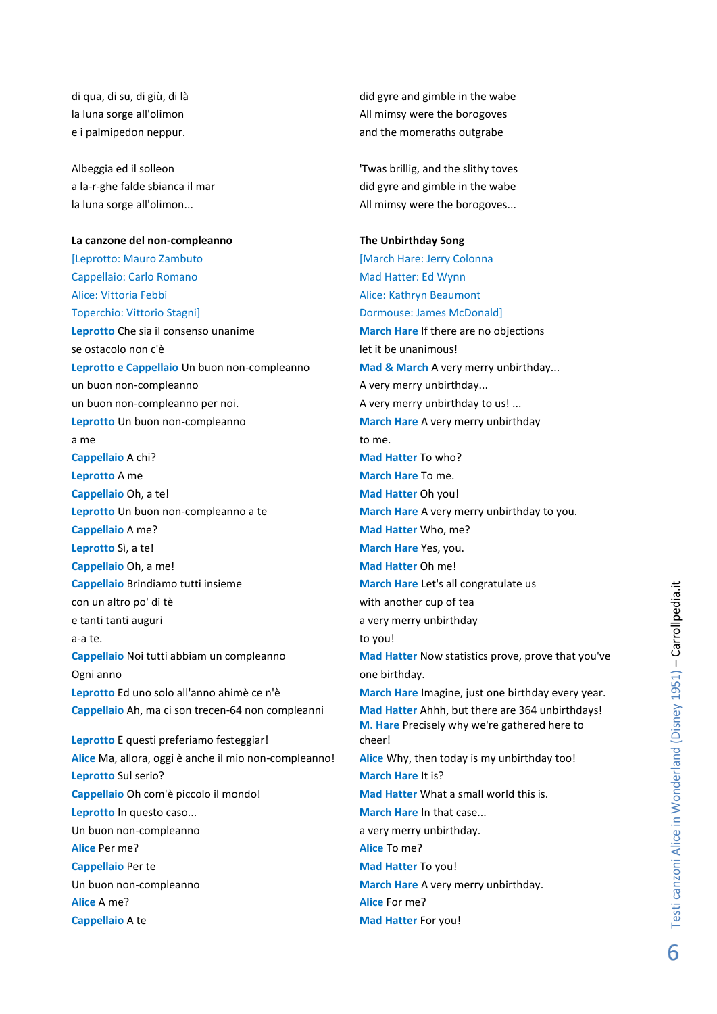Albeggia ed il solleon 'Twas brillig, and the slithy toves

### **La canzone del non-compleanno The Unbirthday Song**

[Leprotto: Mauro Zambuto [March Hare: Jerry Colonna Cappellaio: Carlo Romano Mad Hatter: Ed Wynn Alice: Vittoria Febbi **Alice: Kathryn Beaumont** Toperchio: Vittorio Stagni] Dormouse: James McDonald] **Leprotto** Che sia il consenso unanime **March Hare** If there are no objections se ostacolo non c'è let it be unanimous! **Leprotto e Cappellaio** Un buon non-compleanno **Mad & March** A very merry unbirthday... un buon non-compleanno and a very merry unbirthday... un buon non-compleanno per noi.  $\blacksquare$  A very merry unbirthday to us! ... **Leprotto** Un buon non-compleanno **March Hare** A very merry unbirthday a me to me. **Cappellaio** A chi? **Mad Hatter** To who? **Leprotto** A me **March Hare** To me. **Cappellaio** Oh, a te! **Mad Hatter** Oh you! **Leprotto** Un buon non-compleanno a te **March Hare** A very merry unbirthday to you. **Cappellaio** A me? **Mad Hatter** Who, me? **Leprotto** Sì, a te! **March Hare** Yes, you. **Cappellaio** Oh, a me! **Mad Hatter** Oh me! **Cappellaio** Brindiamo tutti insieme **March Harea** March Hare Let's all congratulate us con un altro po' di tè with another cup of tea e tanti tanti auguri a very merry unbirthday a-a te. to you! **Cappellaio** Noi tutti abbiam un compleanno **Mad Hatter** Now statistics prove, prove that you've Ogni anno one birthday. **Leprotto** Ed uno solo all'anno ahimè ce n'è **March Hare** Imagine, just one birthday every year. **Cappellaio** Ah, ma ci son trecen-64 non compleanni **Mad Hatter** Ahhh, but there are 364 unbirthdays! **Leprotto** E questi preferiamo festeggiar! **Alice** Ma, allora, oggi è anche il mio non-compleanno! **Alice** Why, then today is my unbirthday too! **Leprotto** Sul serio? **March Hare** It is? **Cappellaio** Oh com'è piccolo il mondo! **Mad Hatter** What a small world this is.

Un buon non-compleanno a very merry unbirthday. **Alice** Per me? **Alice** To me? **Cappellaio** Per te **Mad Hatter** To you! **Alice** A me? **Alice** For me? **Cappellaio** A te **Mad Hatter** For you!

di qua, di su, di giù, di là did gyre and gimble in the wabe la luna sorge all'olimon and all mimsy were the borogoves e i palmipedon neppur. and the momeraths outgrabe

a la-r-ghe falde sbianca il mar did gyre and gimble in the wabe la luna sorge all'olimon... All mimsy were the borogoves...

**M. Hare** Precisely why we're gathered here to cheer! **Leprotto** In questo caso... **March Hare** In that case... Un buon non-compleanno **March Hare** A very merry unbirthday.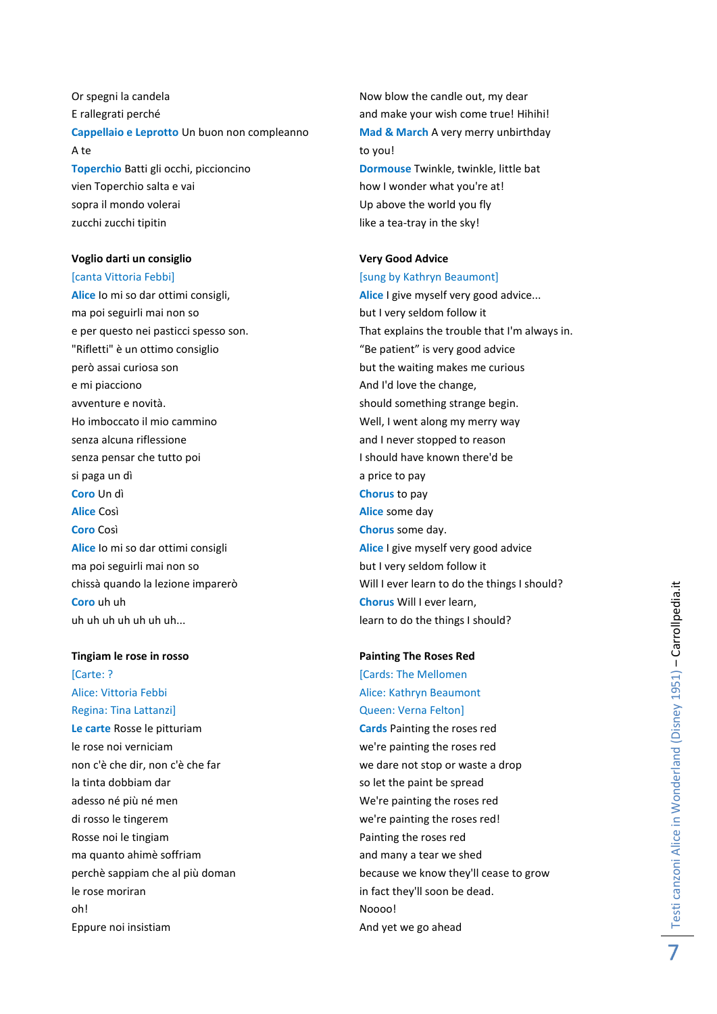Or spegni la candela Now blow the candle out, my dear E rallegrati perché and make your wish come true! Hihihi! **Cappellaio e Leprotto** Un buon non compleanno **Mad & March** A very merry unbirthday A te to you! **Toperchio** Batti gli occhi, piccioncino **Dormouse** Twinkle, twinkle, little bat vien Toperchio salta e vai how I wonder what you're at! sopra il mondo volerai entrare un sopra il mondo volerai un un sopra il Up above the world you fly zucchi zucchi tipitin like a tea-tray in the sky!

# **Voglio darti un consiglio Very Good Advice**

ma poi seguirli mai non so but I very seldom follow it "Rifletti" è un ottimo consiglio  $\blacksquare$ però assai curiosa son but the waiting makes me curious e mi piacciono and and it is a metal of the change, and I'd love the change, avventure e novità. should something strange begin. Ho imboccato il mio cammino e anno Well, I went along my merry way senza alcuna riflessione and I never stopped to reason senza pensar che tutto poi **I should have known there'd be** si paga un dì a price to pay **Coro** Un dì **Chorus** to pay **Alice** Così **Alice** some day **Coro** Così **Chorus** some day. **Alice** Io mi so dar ottimi consigli **Alice** I give myself very good advice ma poi seguirli mai non so but I very seldom follow it **Coro** uh uh **Chorus** Will I ever learn, uh uh uh uh uh uh...<br>learn to do the things I should?

Alice: Vittoria Febbi **Alice: Kathryn Beaumont** Regina: Tina Lattanzi] Queen: Verna Felton] **Le carte** Rosse le pitturiam **Cards** Painting the roses red le rose noi verniciam we're painting the roses red la tinta dobbiam dar so let the paint be spread adesso né più né men We're painting the roses red di rosso le tingerem we're painting the roses red! Rosse noi le tingiam et al. et al. et al. et al. et al. et al. et al. et al. et al. et al. et al. et al. et al ma quanto ahimè soffriam and many a tear we shed le rose moriran in fact they'll soon be dead. oh! Noooo! Eppure noi insistiam and the state of the state of the And yet we go ahead

### [canta Vittoria Febbi] [sung by Kathryn Beaumont]

**Alice** Io mi so dar ottimi consigli, **Alice** I give myself very good advice... e per questo nei pasticci spesso son. That explains the trouble that I'm always in. chissà quando la lezione imparerò Will I ever learn to do the things I should?

## **Tingiam le rose in rosso Painting The Roses Red**

[Carte: ? [Cards: The Mellomen non c'è che dir, non c'è che far we dare not stop or waste a drop perchè sappiam che al più doman because we know they'll cease to grow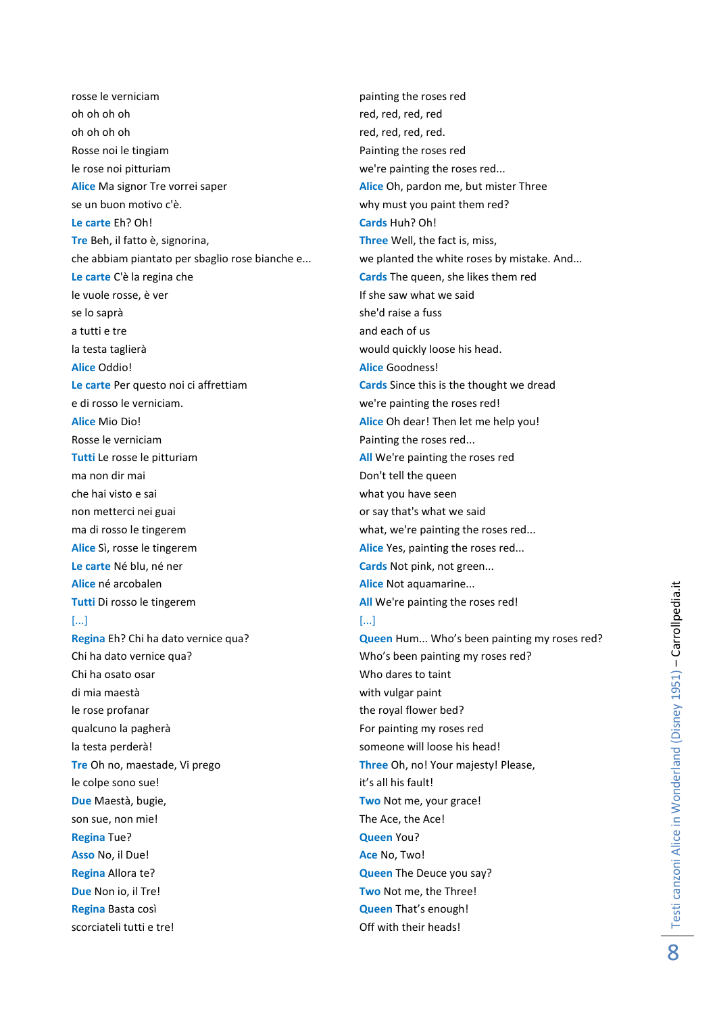rosse le verniciam et al. et al. et al. et al. et al. et al. et al. et al. et al. et al. et al. et al. et al. e oh oh oh oh red, red, red, red oh oh oh oh **oh change of the community of the community** red, red, red, red. Rosse noi le tingiam et al. et al. et al. et al. et al. et al. et al. et al. et al. et al. et al. et al. et al le rose noi pitturiam we're painting the roses red... **Alice** Ma signor Tre vorrei saper **Alice** Oh, pardon me, but mister Three se un buon motivo c'è. why must you paint them red? **Le carte** Eh? Oh! **Cards** Huh? Oh! **Tre** Beh, il fatto è, signorina, **Three** Well, the fact is, miss, che abbiam piantato per sbaglio rose bianche e... we planted the white roses by mistake. And... **Le carte** C'è la regina che **Cards** The queen, she likes them red le vuole rosse, è ver le volt is a version of she saw what we said se lo saprà she'd raise a fuss a tutti e tre and each of us and each of us la testa taglierà would quickly loose his head. **Alice** Oddio! **Alice** Goodness! **Le carte** Per questo noi ci affrettiam **Cards** Since this is the thought we dread e di rosso le verniciam. we're painting the roses red! **Alice** Mio Dio! **Alice** Oh dear! Then let me help you! Rosse le verniciam et al. et al. et al. et al. et al. et al. et al. et al. et al. et al. et al. et al. et al. e **Tutti** Le rosse le pitturiam **All** We're painting the roses red ma non dir mai **Don't tell the queen** che hai visto e sai what you have seen non metterci nei guai and the same or say that's what we said ma di rosso le tingerem exercise to the set of the what, we're painting the roses red... **Alice** Si, rosse le tingerem **Alice** Yes, painting the roses red... Le carte Né blu, né ner **Cards** Not pink, not green... **Alice** né arcobalen **Alice** Not aquamarine... **Tutti** Di rosso le tingerem **All** We're painting the roses red!  $\left[ ... \right]$  . The contract of the contract of the contract of  $\left[ ... \right]$ Chi ha dato vernice qua? Who's been painting my roses red? Chi ha osato osar Who dares to taint di mia maestà with vulgar paint le rose profanar the royal flower bed? qualcuno la pagherà de contracte en la pagherà de la pagherà de la pagherà de la pagherà de la pagherà de la p la testa perderà! someone will loose his head! **Tre** Oh no, maestade, Vi prego **Three** Oh, no! Your majesty! Please, le colpe sono sue! it's all his fault! **Due** Maestà, bugie, **Two** Not me, your grace! son sue, non mie!<br>
The Ace, the Ace! **Regina** Tue? **Queen** You? **Asso** No. il Due! **Ace** No. Two! **Regina** Allora te? **CONFINGTO SANCE ALLOWS Queen** The Deuce you say? **Due** Non io, il Tre! **Two** Not me, the Three! **Regina** Basta così **Queen** That's enough! scorciateli tutti e tre! Scorciateli tutti e tre!

**Regina** Eh? Chi ha dato vernice qua? **Queen** Hum... Who's been painting my roses red?